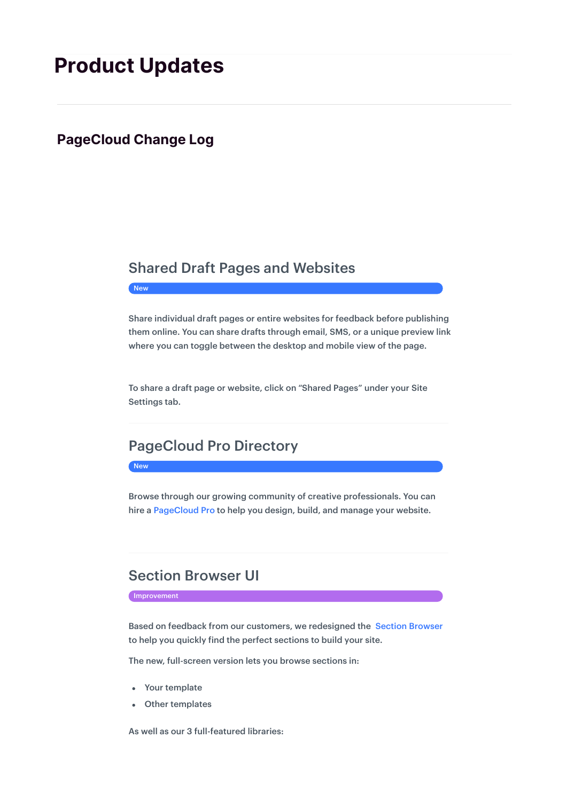# **Product Updates**

### **PageCloud Change Log**

### Shared Draft Pages and Websites

**New** 

Share individual draft pages or entire websites for feedback before publishing them online. You can share drafts through email, SMS, or a unique preview link where you can toggle between the desktop and mobile view of the page.

To share a draft page or website, click on "Shared Pages" under your Site Settings tab.

# PageCloud Pro Directory

New

Browse through our growing community of creative professionals. You can hire a PageCloud Pro to help you design, build, and manage your website.

## Section Browser UI

**Improvement** 

Based on feedback from our customers, we redesigned the Section Browser to help you quickly find the perfect sections to build your site.

The new, full-screen version lets you browse sections in:

- Your template
- Other templates  $\bullet$

As well as our 3 full-featured libraries: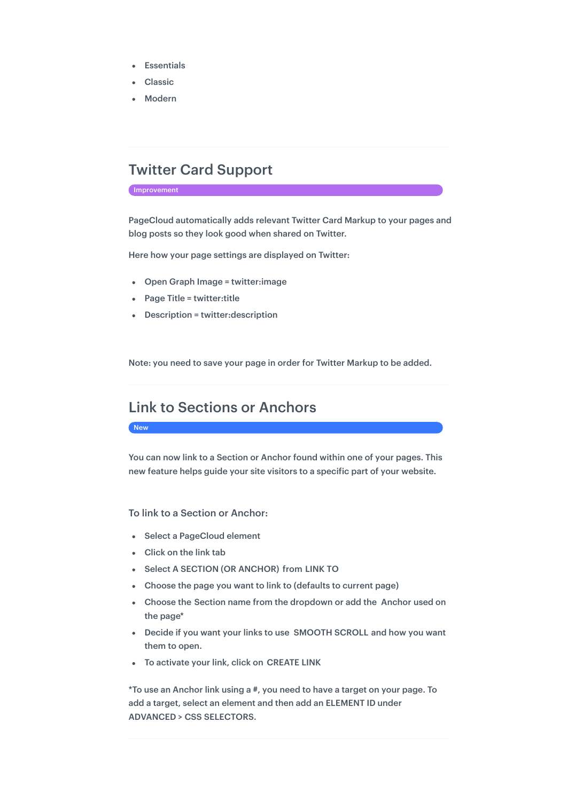- Essentials
- Classic
- Modern

# Twitter Card Support

Improvement

PageCloud automatically adds relevant Twitter Card Markup to your pages and blog posts so they look good when shared on Twitter.

Here how your page settings are displayed on Twitter:

- Open Graph Image = twitter:image
- Page Title = twitter:title
- Description = twitter:description

Note: you need to save your page in order for Twitter Markup to be added.

### Link to Sections or Anchors

New

You can now link to a Section or Anchor found within one of your pages. This new feature helps guide your site visitors to a specific part of your website.

To link to a Section or Anchor:

- Select a PageCloud element
- Click on the link tab
- Select A SECTION (OR ANCHOR) from LINK TO
- Choose the page you want to link to (defaults to current page)
- Choose the Section name from the dropdown or add the Anchor used on the page\*
- Decide if you want your links to use SMOOTH SCROLL and how you want them to open.
- To activate your link, click on CREATE LINK

\*To use an Anchor link using a #, you need to have a target on your page. To add a target, select an element and then add an ELEMENT ID under ADVANCED > CSS SELECTORS.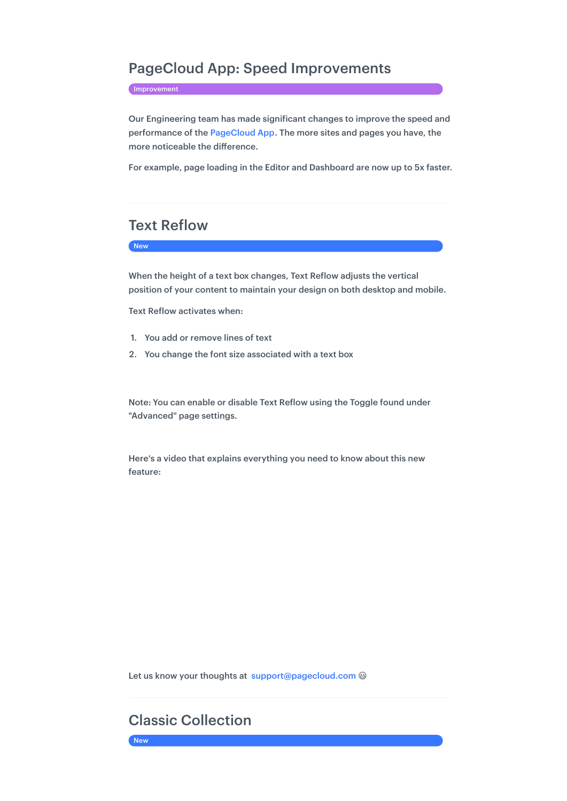### PageCloud App: Speed Improvements

Improvement

Our Engineering team has made significant changes to improve the speed and performance of the PageCloud App. The more sites and pages you have, the more noticeable the difference.

For example, page loading in the Editor and Dashboard are now up to 5x faster.

# Text Reflow

#### New

When the height of a text box changes, Text Reflow adjusts the vertical position of your content to maintain your design on both desktop and mobile.

Text Reflow activates when:

- 1. You add or remove lines of text
- 2. You change the font size associated with a text box

Note: You can enable or disable Text Reflow using the Toggle found under "Advanced" page settings.

Here's a video that explains everything you need to know about this new feature:

Let us know your thoughts at support@pagecloud.com @

# Classic Collection

New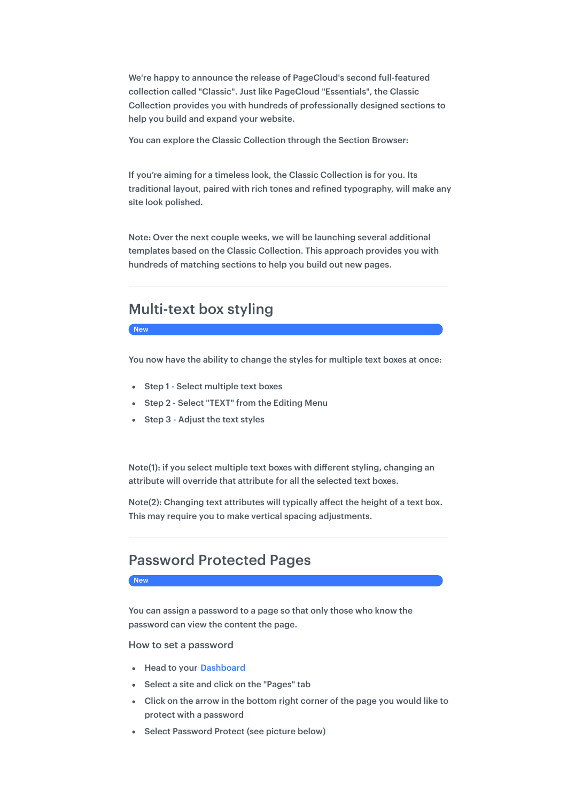We're happy to announce the release of PageCloud's second full-featured collection called "Classic". Just like PageCloud "Essentials", the Classic Collection provides you with hundreds of professionally designed sections to help you build and expand your website.

You can explore the Classic Collection through the Section Browser:

If you're aiming for a timeless look, the Classic Collection is for you. Its traditional layout, paired with rich tones and refined typography, will make any site look polished.

Note: Over the next couple weeks, we will be launching several additional templates based on the Classic Collection. This approach provides you with hundreds of matching sections to help you build out new pages.

# Multi-text box styling

#### **New**

You now have the ability to change the styles for multiple text boxes at once:

- Step 1 Select multiple text boxes
- Step 2 Select "TEXT" from the Editing Menu
- Step 3 Adjust the text styles

Note(1): if you select multiple text boxes with different styling, changing an attribute will override that attribute for all the selected text boxes.

Note(2): Changing text attributes will typically affect the height of a text box. This may require you to make vertical spacing adjustments.

### Password Protected Pages

#### New

You can assign a password to a page so that only those who know the password can view the content the page.

#### How to set a password

- Head to your Dashboard
- Select a site and click on the "Pages" tab
- Click on the arrow in the bottom right corner of the page you would like to protect with a password
- Select Password Protect (see picture below)